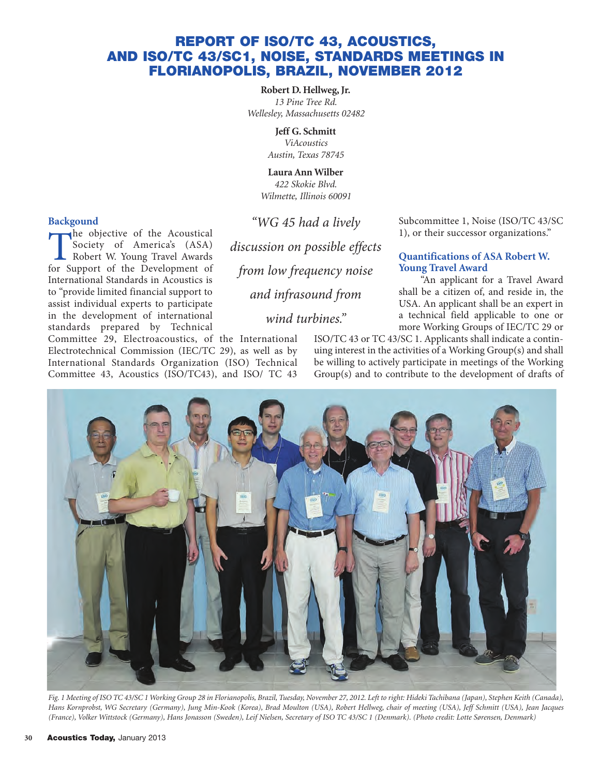# **REPORT OF ISO/TC 43, ACOUSTICS, AND ISO/TC 43/SC1, NOISE, STANDARDS MEETINGS IN FLORIANOPOLIS, BRAZIL, NOVEMBER 2012**

**Robert D. Hellweg, Jr.** *13 Pine Tree Rd. Wellesley, Massachusetts 02482*

> **Jeff G. Schmitt** *ViAcoustics Austin, Texas 78745*

**Laura Ann Wilber** *422 Skokie Blvd. Wilmette, Illinois 60091*

"WG 45 had a lively

discussion on possible effects

from low frequency noise

and infrasound from

wind turbines."

## **Backgound**

The objective of the Acoustical<br>
Society of America's (ASA)<br>
Robert W. Young Travel Awards<br>
for Sunport of the Development of Society of America's (ASA) for Support of the Development of International Standards in Acoustics is to "provide limited financial support to assist individual experts to participate in the development of international standards prepared by Technical

Committee 29, Electroacoustics, of the International Electrotechnical Commission (IEC/TC 29), as well as by International Standards Organization (ISO) Technical Committee 43, Acoustics (ISO/TC43), and ISO/ TC 43 Subcommittee 1, Noise (ISO/TC 43/SC 1), or their successor organizations."

#### **Quantifications of ASA Robert W. Young Travel Award**

"An applicant for a Travel Award shall be a citizen of, and reside in, the USA. An applicant shall be an expert in a technical field applicable to one or more Working Groups of IEC/TC 29 or

ISO/TC 43 or TC 43/SC 1. Applicants shall indicate a continuing interest in the activities of a Working Group(s) and shall be willing to actively participate in meetings of the Working Group(s) and to contribute to the development of drafts of



*Fig. 1 Meeting of ISO TC 43/SC 1 Working Group 28 in Florianopolis, Brazil, Tuesday, November 27, 2012. Left to right: Hideki Tachibana (Japan), Stephen Keith (Canada),* Hans Kornprobst, WG Secretary (Germany), Jung Min-Kook (Korea), Brad Moulton (USA), Robert Hellweg, chair of meeting (USA), Jeff Schmitt (USA), Jean Jacques *(France), Volker Wittstock (Germany), Hans Jonasson (Sweden), Leif Nielsen, Secretary of ISO TC 43/SC 1 (Denmark). (Photo credit: Lotte Sørensen, Denmark)*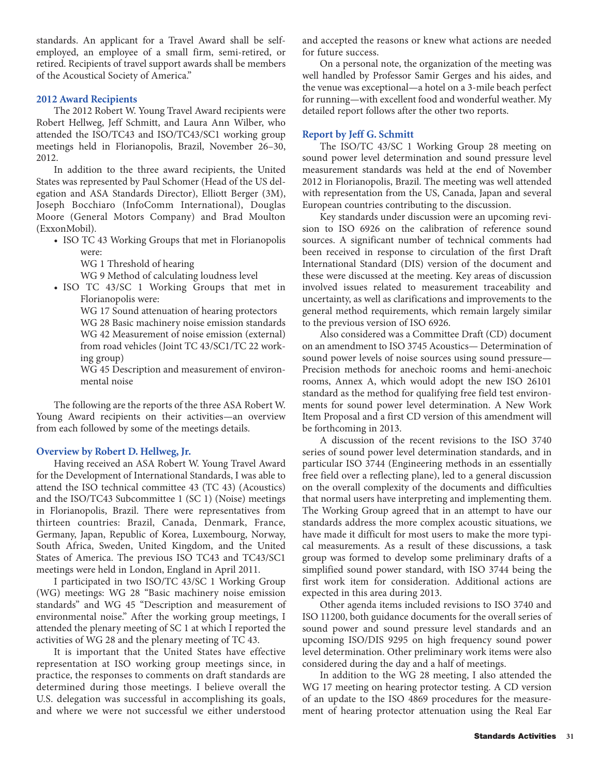standards. An applicant for a Travel Award shall be selfemployed, an employee of a small firm, semi-retired, or retired. Recipients of travel support awards shall be members of the Acoustical Society of America."

#### **2012 Award Recipients**

The 2012 Robert W. Young Travel Award recipients were Robert Hellweg, Jeff Schmitt, and Laura Ann Wilber, who attended the ISO/TC43 and ISO/TC43/SC1 working group meetings held in Florianopolis, Brazil, November 26–30, 2012.

In addition to the three award recipients, the United States was represented by Paul Schomer (Head of the US delegation and ASA Standards Director), Elliott Berger (3M), Joseph Bocchiaro (InfoComm International), Douglas Moore (General Motors Company) and Brad Moulton (ExxonMobil).

• ISO TC 43 Working Groups that met in Florianopolis were:

WG 1 Threshold of hearing

WG 9 Method of calculating loudness level

• ISO TC 43/SC 1 Working Groups that met in Florianopolis were:

> WG 17 Sound attenuation of hearing protectors WG 28 Basic machinery noise emission standards WG 42 Measurement of noise emission (external) from road vehicles (Joint TC 43/SC1/TC 22 working group)

> WG 45 Description and measurement of environmental noise

The following are the reports of the three ASA Robert W. Young Award recipients on their activities—an overview from each followed by some of the meetings details.

#### **Overview by Robert D. Hellweg, Jr.**

Having received an ASA Robert W. Young Travel Award for the Development of International Standards, I was able to attend the ISO technical committee 43 (TC 43) (Acoustics) and the ISO/TC43 Subcommittee 1 (SC 1) (Noise) meetings in Florianopolis, Brazil. There were representatives from thirteen countries: Brazil, Canada, Denmark, France, Germany, Japan, Republic of Korea, Luxembourg, Norway, South Africa, Sweden, United Kingdom, and the United States of America. The previous ISO TC43 and TC43/SC1 meetings were held in London, England in April 2011.

I participated in two ISO/TC 43/SC 1 Working Group (WG) meetings: WG 28 "Basic machinery noise emission standards" and WG 45 "Description and measurement of environmental noise." After the working group meetings, I attended the plenary meeting of SC 1 at which I reported the activities of WG 28 and the plenary meeting of TC 43.

It is important that the United States have effective representation at ISO working group meetings since, in practice, the responses to comments on draft standards are determined during those meetings. I believe overall the U.S. delegation was successful in accomplishing its goals, and where we were not successful we either understood

and accepted the reasons or knew what actions are needed for future success.

On a personal note, the organization of the meeting was well handled by Professor Samir Gerges and his aides, and the venue was exceptional—a hotel on a 3-mile beach perfect for running—with excellent food and wonderful weather. My detailed report follows after the other two reports.

#### **Report by Jeff G. Schmitt**

The ISO/TC 43/SC 1 Working Group 28 meeting on sound power level determination and sound pressure level measurement standards was held at the end of November 2012 in Florianopolis, Brazil. The meeting was well attended with representation from the US, Canada, Japan and several European countries contributing to the discussion.

Key standards under discussion were an upcoming revision to ISO 6926 on the calibration of reference sound sources. A significant number of technical comments had been received in response to circulation of the first Draft International Standard (DIS) version of the document and these were discussed at the meeting. Key areas of discussion involved issues related to measurement traceability and uncertainty, as well as clarifications and improvements to the general method requirements, which remain largely similar to the previous version of ISO 6926.

Also considered was a Committee Draft (CD) document on an amendment to ISO 3745 Acoustics— Determination of sound power levels of noise sources using sound pressure— Precision methods for anechoic rooms and hemi-anechoic rooms, Annex A, which would adopt the new ISO 26101 standard as the method for qualifying free field test environments for sound power level determination. A New Work Item Proposal and a first CD version of this amendment will be forthcoming in 2013.

A discussion of the recent revisions to the ISO 3740 series of sound power level determination standards, and in particular ISO 3744 (Engineering methods in an essentially free field over a reflecting plane), led to a general discussion on the overall complexity of the documents and difficulties that normal users have interpreting and implementing them. The Working Group agreed that in an attempt to have our standards address the more complex acoustic situations, we have made it difficult for most users to make the more typical measurements. As a result of these discussions, a task group was formed to develop some preliminary drafts of a simplified sound power standard, with ISO 3744 being the first work item for consideration. Additional actions are expected in this area during 2013.

Other agenda items included revisions to ISO 3740 and ISO 11200, both guidance documents for the overall series of sound power and sound pressure level standards and an upcoming ISO/DIS 9295 on high frequency sound power level determination. Other preliminary work items were also considered during the day and a half of meetings.

In addition to the WG 28 meeting, I also attended the WG 17 meeting on hearing protector testing. A CD version of an update to the ISO 4869 procedures for the measurement of hearing protector attenuation using the Real Ear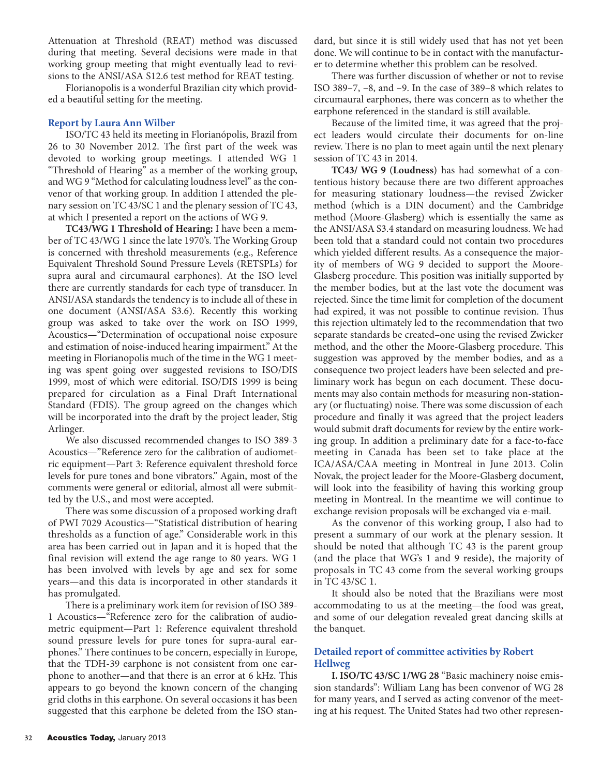Attenuation at Threshold (REAT) method was discussed during that meeting. Several decisions were made in that working group meeting that might eventually lead to revisions to the ANSI/ASA S12.6 test method for REAT testing.

Florianopolis is a wonderful Brazilian city which provided a beautiful setting for the meeting.

#### **Report by Laura Ann Wilber**

ISO/TC 43 held its meeting in Florianópolis, Brazil from 26 to 30 November 2012. The first part of the week was devoted to working group meetings. I attended WG 1 "Threshold of Hearing" as a member of the working group, and WG 9 "Method for calculating loudness level" as the convenor of that working group. In addition I attended the plenary session on TC 43/SC 1 and the plenary session of TC 43, at which I presented a report on the actions of WG 9.

**TC43/WG 1 Threshold of Hearing:** I have been a member of TC 43/WG 1 since the late 1970's. The Working Group is concerned with threshold measurements (e.g., Reference Equivalent Threshold Sound Pressure Levels (RETSPLs) for supra aural and circumaural earphones). At the ISO level there are currently standards for each type of transducer. In ANSI/ASA standards the tendency is to include all of these in one document (ANSI/ASA S3.6). Recently this working group was asked to take over the work on ISO 1999, Acoustics—"Determination of occupational noise exposure and estimation of noise-induced hearing impairment." At the meeting in Florianopolis much of the time in the WG 1 meeting was spent going over suggested revisions to ISO/DIS 1999, most of which were editorial. ISO/DIS 1999 is being prepared for circulation as a Final Draft International Standard (FDIS). The group agreed on the changes which will be incorporated into the draft by the project leader, Stig Arlinger.

We also discussed recommended changes to ISO 389-3 Acoustics—"Reference zero for the calibration of audiometric equipment—Part 3: Reference equivalent threshold force levels for pure tones and bone vibrators." Again, most of the comments were general or editorial, almost all were submitted by the U.S., and most were accepted.

There was some discussion of a proposed working draft of PWI 7029 Acoustics—"Statistical distribution of hearing thresholds as a function of age." Considerable work in this area has been carried out in Japan and it is hoped that the final revision will extend the age range to 80 years. WG 1 has been involved with levels by age and sex for some years—and this data is incorporated in other standards it has promulgated.

There is a preliminary work item for revision of ISO 389- 1 Acoustics—"Reference zero for the calibration of audiometric equipment—Part 1: Reference equivalent threshold sound pressure levels for pure tones for supra-aural earphones." There continues to be concern, especially in Europe, that the TDH-39 earphone is not consistent from one earphone to another—and that there is an error at 6 kHz. This appears to go beyond the known concern of the changing grid cloths in this earphone. On several occasions it has been suggested that this earphone be deleted from the ISO standard, but since it is still widely used that has not yet been done. We will continue to be in contact with the manufacturer to determine whether this problem can be resolved.

There was further discussion of whether or not to revise ISO 389–7, –8, and –9. In the case of 389–8 which relates to circumaural earphones, there was concern as to whether the earphone referenced in the standard is still available.

Because of the limited time, it was agreed that the project leaders would circulate their documents for on-line review. There is no plan to meet again until the next plenary session of TC 43 in 2014.

**TC43/ WG 9 (Loudness)** has had somewhat of a contentious history because there are two different approaches for measuring stationary loudness—the revised Zwicker method (which is a DIN document) and the Cambridge method (Moore-Glasberg) which is essentially the same as the ANSI/ASA S3.4 standard on measuring loudness. We had been told that a standard could not contain two procedures which yielded different results. As a consequence the majority of members of WG 9 decided to support the Moore-Glasberg procedure. This position was initially supported by the member bodies, but at the last vote the document was rejected. Since the time limit for completion of the document had expired, it was not possible to continue revision. Thus this rejection ultimately led to the recommendation that two separate standards be created–one using the revised Zwicker method, and the other the Moore-Glasberg procedure. This suggestion was approved by the member bodies, and as a consequence two project leaders have been selected and preliminary work has begun on each document. These documents may also contain methods for measuring non-stationary (or fluctuating) noise. There was some discussion of each procedure and finally it was agreed that the project leaders would submit draft documents for review by the entire working group. In addition a preliminary date for a face-to-face meeting in Canada has been set to take place at the ICA/ASA/CAA meeting in Montreal in June 2013. Colin Novak, the project leader for the Moore-Glasberg document, will look into the feasibility of having this working group meeting in Montreal. In the meantime we will continue to exchange revision proposals will be exchanged via e-mail.

As the convenor of this working group, I also had to present a summary of our work at the plenary session. It should be noted that although TC 43 is the parent group (and the place that WG's 1 and 9 reside), the majority of proposals in TC 43 come from the several working groups in TC 43/SC 1.

It should also be noted that the Brazilians were most accommodating to us at the meeting—the food was great, and some of our delegation revealed great dancing skills at the banquet.

## **Detailed report of committee activities by Robert Hellweg**

**I. ISO/TC 43/SC 1/WG 28** "Basic machinery noise emission standards": William Lang has been convenor of WG 28 for many years, and I served as acting convenor of the meeting at his request. The United States had two other represen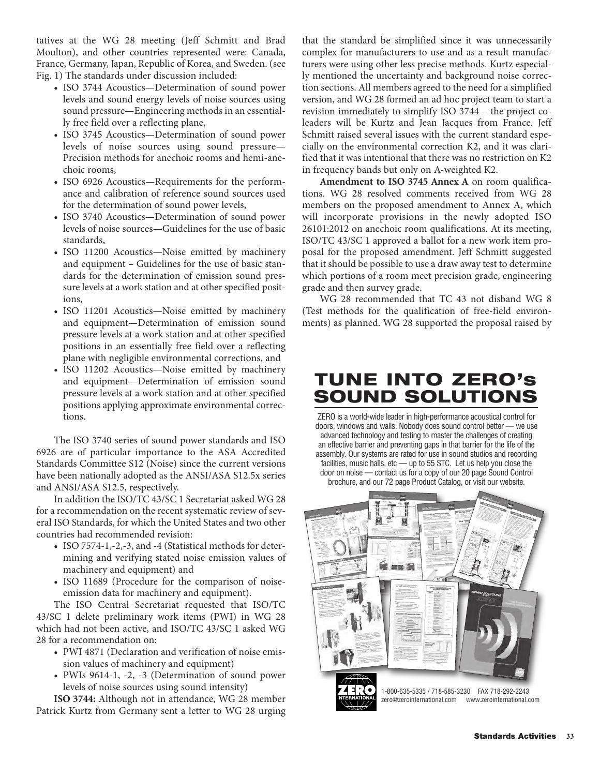tatives at the WG 28 meeting (Jeff Schmitt and Brad Moulton), and other countries represented were: Canada, France, Germany, Japan, Republic of Korea, and Sweden. (see Fig. 1) The standards under discussion included:

- ISO 3744 Acoustics—Determination of sound power levels and sound energy levels of noise sources using sound pressure—Engineering methods in an essentially free field over a reflecting plane,
- ISO 3745 Acoustics—Determination of sound power levels of noise sources using sound pressure— Precision methods for anechoic rooms and hemi-anechoic rooms,
- ISO 6926 Acoustics—Requirements for the performance and calibration of reference sound sources used for the determination of sound power levels,
- ISO 3740 Acoustics—Determination of sound power levels of noise sources—Guidelines for the use of basic standards,
- ISO 11200 Acoustics—Noise emitted by machinery and equipment – Guidelines for the use of basic standards for the determination of emission sound pressure levels at a work station and at other specified positions,
- ISO 11201 Acoustics—Noise emitted by machinery and equipment—Determination of emission sound pressure levels at a work station and at other specified positions in an essentially free field over a reflecting plane with negligible environmental corrections, and
- ISO 11202 Acoustics—Noise emitted by machinery and equipment—Determination of emission sound pressure levels at a work station and at other specified positions applying approximate environmental corrections.

The ISO 3740 series of sound power standards and ISO 6926 are of particular importance to the ASA Accredited Standards Committee S12 (Noise) since the current versions have been nationally adopted as the ANSI/ASA S12.5x series and ANSI/ASA S12.5, respectively.

In addition the ISO/TC 43/SC 1 Secretariat asked WG 28 for a recommendation on the recent systematic review of several ISO Standards, for which the United States and two other countries had recommended revision:

- ISO 7574-1,-2,-3, and -4 (Statistical methods for determining and verifying stated noise emission values of machinery and equipment) and
- ISO 11689 (Procedure for the comparison of noiseemission data for machinery and equipment).

The ISO Central Secretariat requested that ISO/TC 43/SC 1 delete preliminary work items (PWI) in WG 28 which had not been active, and ISO/TC 43/SC 1 asked WG 28 for a recommendation on:

- PWI 4871 (Declaration and verification of noise emission values of machinery and equipment)
- PWIs 9614-1, -2, -3 (Determination of sound power levels of noise sources using sound intensity)

**ISO 3744:** Although not in attendance, WG 28 member Patrick Kurtz from Germany sent a letter to WG 28 urging

that the standard be simplified since it was unnecessarily complex for manufacturers to use and as a result manufacturers were using other less precise methods. Kurtz especially mentioned the uncertainty and background noise correction sections. All members agreed to the need for a simplified version, and WG 28 formed an ad hoc project team to start a revision immediately to simplify ISO 3744 – the project coleaders will be Kurtz and Jean Jacques from France. Jeff Schmitt raised several issues with the current standard especially on the environmental correction K2, and it was clarified that it was intentional that there was no restriction on K2 in frequency bands but only on A-weighted K2.

**Amendment to ISO 3745 Annex A** on room qualifications. WG 28 resolved comments received from WG 28 members on the proposed amendment to Annex A, which will incorporate provisions in the newly adopted ISO 26101:2012 on anechoic room qualifications. At its meeting, ISO/TC 43/SC 1 approved a ballot for a new work item proposal for the proposed amendment. Jeff Schmitt suggested that it should be possible to use a draw away test to determine which portions of a room meet precision grade, engineering grade and then survey grade.

WG 28 recommended that TC 43 not disband WG 8 (Test methods for the qualification of free-field environments) as planned. WG 28 supported the proposal raised by

# **TUNE INTO ZERO's SOUND SOLUTIONS**

ZERO is a world-wide leader in high-performance acoustical control for doors, windows and walls. Nobody does sound control better — we use advanced technology and testing to master the challenges of creating an effective barrier and preventing gaps in that barrier for the life of the assembly. Our systems are rated for use in sound studios and recording facilities, music halls, etc - up to 55 STC. Let us help you close the door on noise — contact us for a copy of our 20 page Sound Control brochure, and our 72 page Product Catalog, or visit our website.

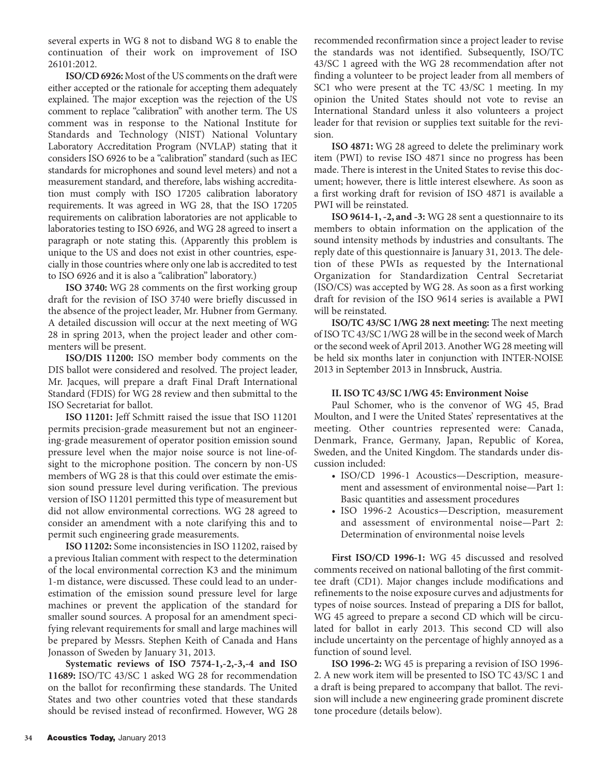several experts in WG 8 not to disband WG 8 to enable the continuation of their work on improvement of ISO 26101:2012.

**ISO/CD 6926:** Most of the US comments on the draft were either accepted or the rationale for accepting them adequately explained. The major exception was the rejection of the US comment to replace "calibration" with another term. The US comment was in response to the National Institute for Standards and Technology (NIST) National Voluntary Laboratory Accreditation Program (NVLAP) stating that it considers ISO 6926 to be a "calibration" standard (such as IEC standards for microphones and sound level meters) and not a measurement standard, and therefore, labs wishing accreditation must comply with ISO 17205 calibration laboratory requirements. It was agreed in WG 28, that the ISO 17205 requirements on calibration laboratories are not applicable to laboratories testing to ISO 6926, and WG 28 agreed to insert a paragraph or note stating this. (Apparently this problem is unique to the US and does not exist in other countries, especially in those countries where only one lab is accredited to test to ISO 6926 and it is also a "calibration" laboratory.)

**ISO 3740:** WG 28 comments on the first working group draft for the revision of ISO 3740 were briefly discussed in the absence of the project leader, Mr. Hubner from Germany. A detailed discussion will occur at the next meeting of WG 28 in spring 2013, when the project leader and other commenters will be present.

**ISO/DIS 11200:** ISO member body comments on the DIS ballot were considered and resolved. The project leader, Mr. Jacques, will prepare a draft Final Draft International Standard (FDIS) for WG 28 review and then submittal to the ISO Secretariat for ballot.

**ISO 11201:** Jeff Schmitt raised the issue that ISO 11201 permits precision-grade measurement but not an engineering-grade measurement of operator position emission sound pressure level when the major noise source is not line-ofsight to the microphone position. The concern by non-US members of WG 28 is that this could over estimate the emission sound pressure level during verification. The previous version of ISO 11201 permitted this type of measurement but did not allow environmental corrections. WG 28 agreed to consider an amendment with a note clarifying this and to permit such engineering grade measurements.

**ISO 11202:** Some inconsistencies in ISO 11202, raised by a previous Italian comment with respect to the determination of the local environmental correction K3 and the minimum 1-m distance, were discussed. These could lead to an underestimation of the emission sound pressure level for large machines or prevent the application of the standard for smaller sound sources. A proposal for an amendment specifying relevant requirements for small and large machines will be prepared by Messrs. Stephen Keith of Canada and Hans Jonasson of Sweden by January 31, 2013.

**Systematic reviews of ISO 7574-1,-2,-3,-4 and ISO 11689:** ISO/TC 43/SC 1 asked WG 28 for recommendation on the ballot for reconfirming these standards. The United States and two other countries voted that these standards should be revised instead of reconfirmed. However, WG 28

recommended reconfirmation since a project leader to revise the standards was not identified. Subsequently, ISO/TC 43/SC 1 agreed with the WG 28 recommendation after not finding a volunteer to be project leader from all members of SC1 who were present at the TC 43/SC 1 meeting. In my opinion the United States should not vote to revise an International Standard unless it also volunteers a project leader for that revision or supplies text suitable for the revision.

**ISO 4871:** WG 28 agreed to delete the preliminary work item (PWI) to revise ISO 4871 since no progress has been made. There is interest in the United States to revise this document; however, there is little interest elsewhere. As soon as a first working draft for revision of ISO 4871 is available a PWI will be reinstated.

**ISO 9614-1, -2, and -3:** WG 28 sent a questionnaire to its members to obtain information on the application of the sound intensity methods by industries and consultants. The reply date of this questionnaire is January 31, 2013. The deletion of these PWIs as requested by the International Organization for Standardization Central Secretariat (ISO/CS) was accepted by WG 28. As soon as a first working draft for revision of the ISO 9614 series is available a PWI will be reinstated.

**ISO/TC 43/SC 1/WG 28 next meeting:** The next meeting of ISO TC 43/SC 1/WG 28 will be in the second week of March or the second week of April 2013. Another WG 28 meeting will be held six months later in conjunction with INTER-NOISE 2013 in September 2013 in Innsbruck, Austria.

#### **II. ISO TC 43/SC 1/WG 45: Environment Noise**

Paul Schomer, who is the convenor of WG 45, Brad Moulton, and I were the United States' representatives at the meeting. Other countries represented were: Canada, Denmark, France, Germany, Japan, Republic of Korea, Sweden, and the United Kingdom. The standards under discussion included:

- ISO/CD 1996-1 Acoustics—Description, measurement and assessment of environmental noise—Part 1: Basic quantities and assessment procedures
- ISO 1996-2 Acoustics—Description, measurement and assessment of environmental noise—Part 2: Determination of environmental noise levels

**First ISO/CD 1996-1:** WG 45 discussed and resolved comments received on national balloting of the first committee draft (CD1). Major changes include modifications and refinements to the noise exposure curves and adjustments for types of noise sources. Instead of preparing a DIS for ballot, WG 45 agreed to prepare a second CD which will be circulated for ballot in early 2013. This second CD will also include uncertainty on the percentage of highly annoyed as a function of sound level.

**ISO 1996-2:** WG 45 is preparing a revision of ISO 1996- 2. A new work item will be presented to ISO TC 43/SC 1 and a draft is being prepared to accompany that ballot. The revision will include a new engineering grade prominent discrete tone procedure (details below).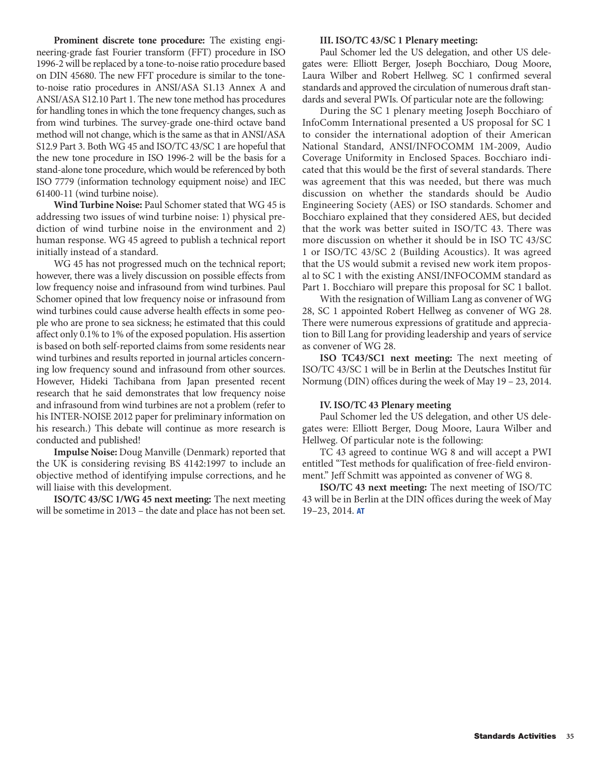**Prominent discrete tone procedure:** The existing engineering-grade fast Fourier transform (FFT) procedure in ISO 1996-2 will be replaced by a tone-to-noise ratio procedure based on DIN 45680. The new FFT procedure is similar to the toneto-noise ratio procedures in ANSI/ASA S1.13 Annex A and ANSI/ASA S12.10 Part 1. The new tone method has procedures for handling tones in which the tone frequency changes, such as from wind turbines. The survey-grade one-third octave band method will not change, which is the same as that in ANSI/ASA S12.9 Part 3. Both WG 45 and ISO/TC 43/SC 1 are hopeful that the new tone procedure in ISO 1996-2 will be the basis for a stand-alone tone procedure, which would be referenced by both ISO 7779 (information technology equipment noise) and IEC 61400-11 (wind turbine noise).

**Wind Turbine Noise:** Paul Schomer stated that WG 45 is addressing two issues of wind turbine noise: 1) physical prediction of wind turbine noise in the environment and 2) human response. WG 45 agreed to publish a technical report initially instead of a standard.

WG 45 has not progressed much on the technical report; however, there was a lively discussion on possible effects from low frequency noise and infrasound from wind turbines. Paul Schomer opined that low frequency noise or infrasound from wind turbines could cause adverse health effects in some people who are prone to sea sickness; he estimated that this could affect only 0.1% to 1% of the exposed population. His assertion is based on both self-reported claims from some residents near wind turbines and results reported in journal articles concerning low frequency sound and infrasound from other sources. However, Hideki Tachibana from Japan presented recent research that he said demonstrates that low frequency noise and infrasound from wind turbines are not a problem (refer to his INTER-NOISE 2012 paper for preliminary information on his research.) This debate will continue as more research is conducted and published!

**Impulse Noise:** Doug Manville (Denmark) reported that the UK is considering revising BS 4142:1997 to include an objective method of identifying impulse corrections, and he will liaise with this development.

**ISO/TC 43/SC 1/WG 45 next meeting:** The next meeting will be sometime in 2013 – the date and place has not been set.

#### **III. ISO/TC 43/SC 1 Plenary meeting:**

Paul Schomer led the US delegation, and other US delegates were: Elliott Berger, Joseph Bocchiaro, Doug Moore, Laura Wilber and Robert Hellweg. SC 1 confirmed several standards and approved the circulation of numerous draft standards and several PWIs. Of particular note are the following:

During the SC 1 plenary meeting Joseph Bocchiaro of InfoComm International presented a US proposal for SC 1 to consider the international adoption of their American National Standard, ANSI/INFOCOMM 1M-2009, Audio Coverage Uniformity in Enclosed Spaces. Bocchiaro indicated that this would be the first of several standards. There was agreement that this was needed, but there was much discussion on whether the standards should be Audio Engineering Society (AES) or ISO standards. Schomer and Bocchiaro explained that they considered AES, but decided that the work was better suited in ISO/TC 43. There was more discussion on whether it should be in ISO TC 43/SC 1 or ISO/TC 43/SC 2 (Building Acoustics). It was agreed that the US would submit a revised new work item proposal to SC 1 with the existing ANSI/INFOCOMM standard as Part 1. Bocchiaro will prepare this proposal for SC 1 ballot.

With the resignation of William Lang as convener of WG 28, SC 1 appointed Robert Hellweg as convener of WG 28. There were numerous expressions of gratitude and appreciation to Bill Lang for providing leadership and years of service as convener of WG 28.

**ISO TC43/SC1 next meeting:** The next meeting of ISO/TC 43/SC 1 will be in Berlin at the Deutsches Institut für Normung (DIN) offices during the week of May 19 – 23, 2014.

#### **IV. ISO/TC 43 Plenary meeting**

Paul Schomer led the US delegation, and other US delegates were: Elliott Berger, Doug Moore, Laura Wilber and Hellweg. Of particular note is the following:

TC 43 agreed to continue WG 8 and will accept a PWI entitled "Test methods for qualification of free-field environment." Jeff Schmitt was appointed as convener of WG 8.

**ISO/TC 43 next meeting:** The next meeting of ISO/TC 43 will be in Berlin at the DIN offices during the week of May 19–23, 2014. **AT**